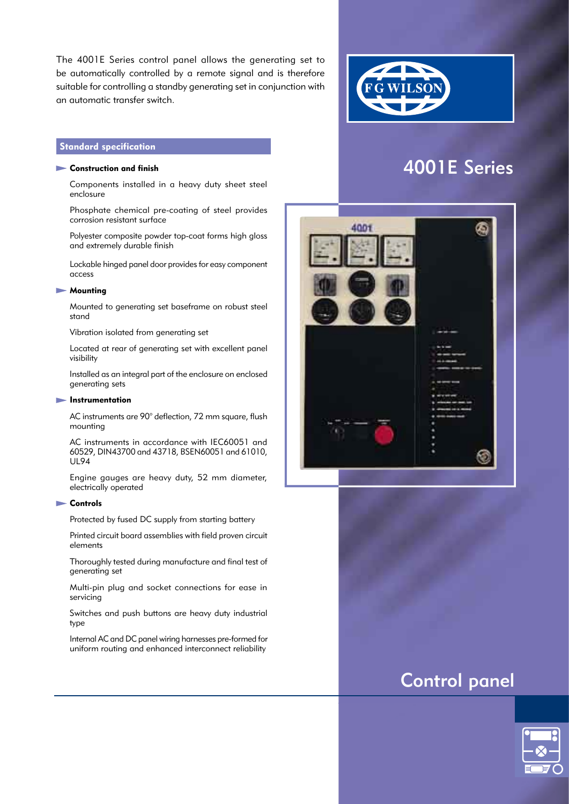The 4001E Series control panel allows the generating set to be automatically controlled by a remote signal and is therefore suitable for controlling a standby generating set in conjunction with an automatic transfer switch.

# **Standard specification**

#### $\blacktriangleright$  Construction and finish

 Components installed in a heavy duty sheet steel enclosure

Phosphate chemical pre-coating of steel provides corrosion resistant surface

Polyester composite powder top-coat forms high gloss and extremely durable finish

Lockable hinged panel door provides for easy component access

#### **Mounting**

 Mounted to generating set baseframe on robust steel stand

Vibration isolated from generating set

 Located at rear of generating set with excellent panel visibility

 Installed as an integral part of the enclosure on enclosed generating sets

#### **Instrumentation**

 AC instruments are 90° deflection, 72 mm square, flush mounting

 AC instruments in accordance with IEC60051 and 60529, DIN43700 and 43718, BSEN60051 and 61010, UL94

 Engine gauges are heavy duty, 52 mm diameter, electrically operated

#### **Controls**

Protected by fused DC supply from starting battery

 Printed circuit board assemblies with field proven circuit elements

 Thoroughly tested during manufacture and final test of generating set

 Multi-pin plug and socket connections for ease in servicing

 Switches and push buttons are heavy duty industrial type

 Internal AC and DC panel wiring harnesses pre-formed for uniform routing and enhanced interconnect reliability





# Control panel